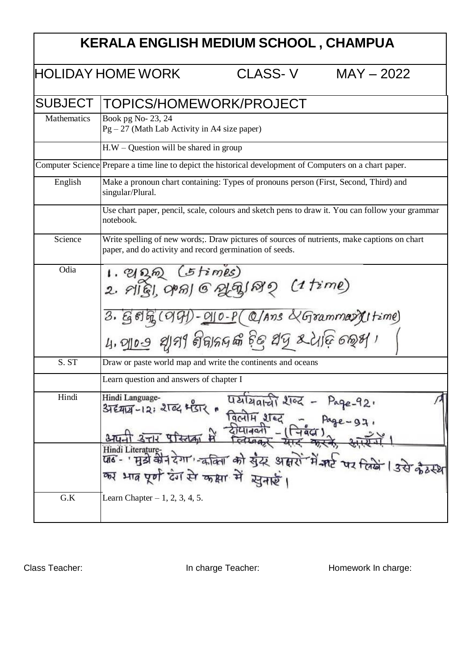| KERALA ENGLISH MEDIUM SCHOOL, CHAMPUA |                                                                                                                                                                                                                                                                                                                                          |         |              |  |  |
|---------------------------------------|------------------------------------------------------------------------------------------------------------------------------------------------------------------------------------------------------------------------------------------------------------------------------------------------------------------------------------------|---------|--------------|--|--|
|                                       | <b>HOLIDAY HOME WORK</b>                                                                                                                                                                                                                                                                                                                 | CLASS-V | $MAY - 2022$ |  |  |
| <b>SUBJECT</b>                        | TOPICS/HOMEWORK/PROJECT                                                                                                                                                                                                                                                                                                                  |         |              |  |  |
| Mathematics                           | Book pg No- 23, 24<br>$Pg - 27$ (Math Lab Activity in A4 size paper)                                                                                                                                                                                                                                                                     |         |              |  |  |
|                                       | $H.W - Question$ will be shared in group                                                                                                                                                                                                                                                                                                 |         |              |  |  |
|                                       | Computer Science Prepare a time line to depict the historical development of Computers on a chart paper.                                                                                                                                                                                                                                 |         |              |  |  |
| English                               | Make a pronoun chart containing: Types of pronouns person (First, Second, Third) and<br>singular/Plural.                                                                                                                                                                                                                                 |         |              |  |  |
|                                       | Use chart paper, pencil, scale, colours and sketch pens to draw it. You can follow your grammar<br>notebook.                                                                                                                                                                                                                             |         |              |  |  |
| Science                               | Write spelling of new words; Draw pictures of sources of nutrients, make captions on chart<br>paper, and do activity and record germination of seeds.                                                                                                                                                                                    |         |              |  |  |
| Odia                                  | ப. வூல (த times)<br>2. விது, அவு 6 ஆகு (ஜி (1 time)                                                                                                                                                                                                                                                                                      |         |              |  |  |
|                                       | $3.6696(09) - 010 - P(QAns \& Gramm$ artime<br>५, <u>जा०७</u> थानी निवाहलक्ष हेलु धनु रूटे। दि क्रूभ ।                                                                                                                                                                                                                                   |         |              |  |  |
| S. ST                                 | Draw or paste world map and write the continents and oceans                                                                                                                                                                                                                                                                              |         |              |  |  |
|                                       | Learn question and answers of chapter I                                                                                                                                                                                                                                                                                                  |         |              |  |  |
| Hindi                                 | Hindi Language-<br>पर्यायवाची शब्द - Page-92.<br>अद्याय-12: शब्द भंडार<br>$\frac{1}{271}$ $\frac{1}{271}$ $\frac{1}{271}$ $\frac{1}{271}$ $\frac{1}{271}$ $\frac{1}{271}$ $\frac{1}{271}$<br>Hindi Literature-<br>पाढ - ' मुझे की न देगा' कि किया को सुदर आसरों में मार्ट पर तिखें । उसे कैठस्थ<br>का भाव पूर्ण देंग से कक्षा में सुनाई। |         |              |  |  |
| ${\bf G.K}$                           | Learn Chapter $-1, 2, 3, 4, 5$ .                                                                                                                                                                                                                                                                                                         |         |              |  |  |

Class Teacher: **In charge Teacher:** In charge Teacher: Homework In charge: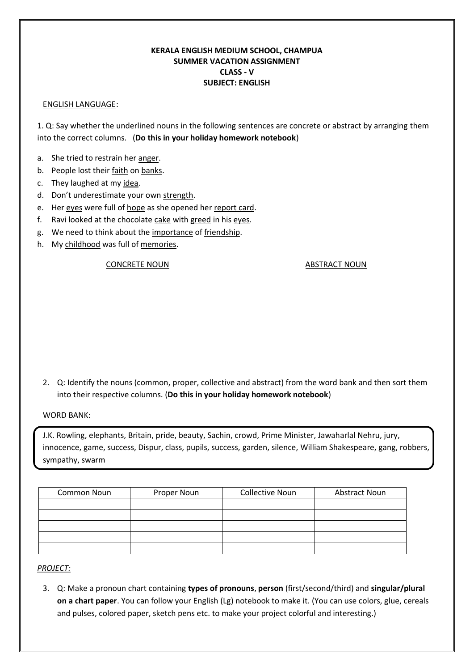## **KERALA ENGLISH MEDIUM SCHOOL, CHAMPUA SUMMER VACATION ASSIGNMENT CLASS - V SUBJECT: ENGLISH**

### ENGLISH LANGUAGE:

1. Q: Say whether the underlined nouns in the following sentences are concrete or abstract by arranging them into the correct columns. (**Do this in your holiday homework notebook**)

- a. She tried to restrain her anger.
- b. People lost their faith on banks.
- c. They laughed at my idea.
- d. Don't underestimate your own strength.
- e. Her eyes were full of hope as she opened her report card.
- f. Ravi looked at the chocolate cake with greed in his eyes.
- g. We need to think about the importance of friendship.
- h. My childhood was full of memories.

### CONCRETE NOUN ABSTRACT NOUN

2. Q: Identify the nouns (common, proper, collective and abstract) from the word bank and then sort them into their respective columns. (**Do this in your holiday homework notebook**)

WORD BANK:

J.K. Rowling, elephants, Britain, pride, beauty, Sachin, crowd, Prime Minister, Jawaharlal Nehru, jury, innocence, game, success, Dispur, class, pupils, success, garden, silence, William Shakespeare, gang, robbers, sympathy, swarm

| <b>Common Noun</b> | Proper Noun | <b>Collective Noun</b> | <b>Abstract Noun</b> |
|--------------------|-------------|------------------------|----------------------|
|                    |             |                        |                      |
|                    |             |                        |                      |
|                    |             |                        |                      |
|                    |             |                        |                      |
|                    |             |                        |                      |

# *PROJECT:*

3. Q: Make a pronoun chart containing **types of pronouns**, **person** (first/second/third) and **singular/plural on a chart paper**. You can follow your English (Lg) notebook to make it. (You can use colors, glue, cereals and pulses, colored paper, sketch pens etc. to make your project colorful and interesting.)